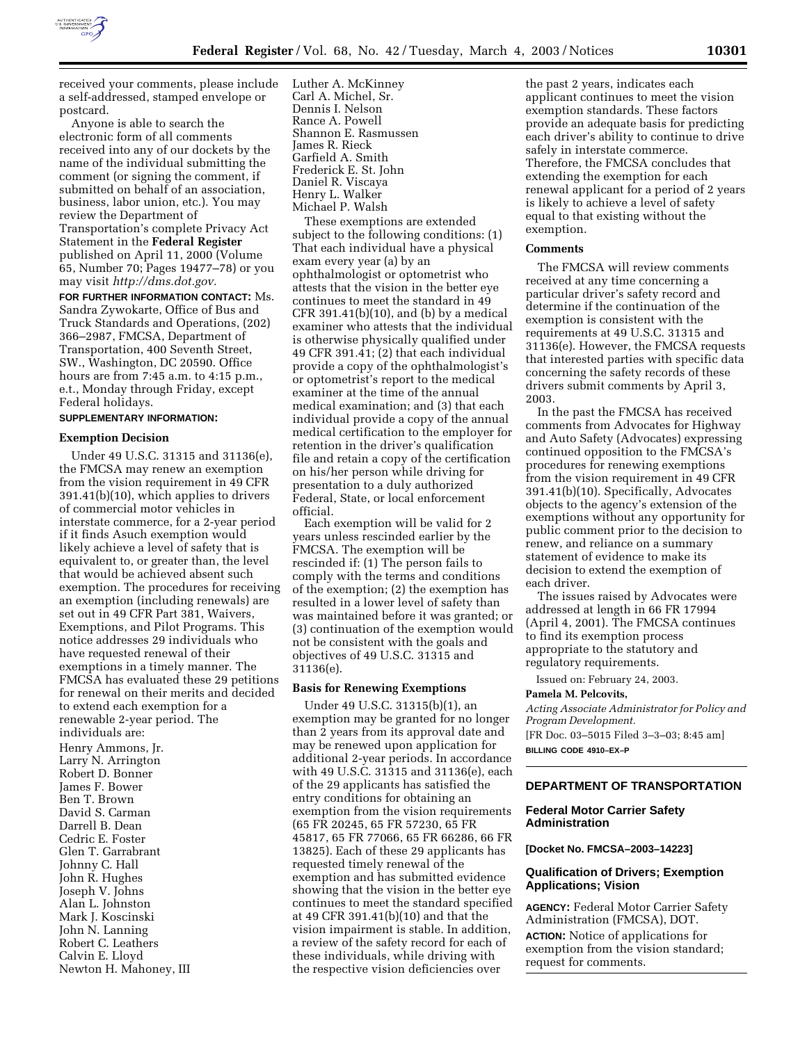

received your comments, please include a self-addressed, stamped envelope or postcard.

Anyone is able to search the electronic form of all comments received into any of our dockets by the name of the individual submitting the comment (or signing the comment, if submitted on behalf of an association, business, labor union, etc.). You may review the Department of Transportation's complete Privacy Act Statement in the **Federal Register** published on April 11, 2000 (Volume 65, Number 70; Pages 19477–78) or you may visit *http://dms.dot.gov.*

**FOR FURTHER INFORMATION CONTACT:** Ms. Sandra Zywokarte, Office of Bus and Truck Standards and Operations, (202) 366–2987, FMCSA, Department of Transportation, 400 Seventh Street, SW., Washington, DC 20590. Office hours are from 7:45 a.m. to 4:15 p.m., e.t., Monday through Friday, except Federal holidays.

## **SUPPLEMENTARY INFORMATION:**

## **Exemption Decision**

Under 49 U.S.C. 31315 and 31136(e), the FMCSA may renew an exemption from the vision requirement in 49 CFR 391.41(b)(10), which applies to drivers of commercial motor vehicles in interstate commerce, for a 2-year period if it finds Asuch exemption would likely achieve a level of safety that is equivalent to, or greater than, the level that would be achieved absent such exemption. The procedures for receiving an exemption (including renewals) are set out in 49 CFR Part 381, Waivers, Exemptions, and Pilot Programs. This notice addresses 29 individuals who have requested renewal of their exemptions in a timely manner. The FMCSA has evaluated these 29 petitions for renewal on their merits and decided to extend each exemption for a renewable 2-year period. The individuals are:

Henry Ammons, Jr. Larry N. Arrington Robert D. Bonner James F. Bower Ben T. Brown David S. Carman Darrell B. Dean Cedric E. Foster Glen T. Garrabrant Johnny C. Hall John R. Hughes Joseph V. Johns Alan L. Johnston Mark J. Koscinski John N. Lanning Robert C. Leathers Calvin E. Lloyd Newton H. Mahoney, III Luther A. McKinney Carl A. Michel, Sr. Dennis I. Nelson Rance A. Powell Shannon E. Rasmussen James R. Rieck Garfield A. Smith Frederick E. St. John Daniel R. Viscaya Henry L. Walker Michael P. Walsh

These exemptions are extended subject to the following conditions: (1) That each individual have a physical exam every year (a) by an ophthalmologist or optometrist who attests that the vision in the better eye continues to meet the standard in 49 CFR 391.41(b)(10), and (b) by a medical examiner who attests that the individual is otherwise physically qualified under 49 CFR 391.41; (2) that each individual provide a copy of the ophthalmologist's or optometrist's report to the medical examiner at the time of the annual medical examination; and (3) that each individual provide a copy of the annual medical certification to the employer for retention in the driver's qualification file and retain a copy of the certification on his/her person while driving for presentation to a duly authorized Federal, State, or local enforcement official.

Each exemption will be valid for 2 years unless rescinded earlier by the FMCSA. The exemption will be rescinded if: (1) The person fails to comply with the terms and conditions of the exemption; (2) the exemption has resulted in a lower level of safety than was maintained before it was granted; or (3) continuation of the exemption would not be consistent with the goals and objectives of 49 U.S.C. 31315 and 31136(e).

### **Basis for Renewing Exemptions**

Under 49 U.S.C. 31315(b)(1), an exemption may be granted for no longer than 2 years from its approval date and may be renewed upon application for additional 2-year periods. In accordance with 49 U.S.C. 31315 and 31136(e), each of the 29 applicants has satisfied the entry conditions for obtaining an exemption from the vision requirements (65 FR 20245, 65 FR 57230, 65 FR 45817, 65 FR 77066, 65 FR 66286, 66 FR 13825). Each of these 29 applicants has requested timely renewal of the exemption and has submitted evidence showing that the vision in the better eye continues to meet the standard specified at 49 CFR 391.41(b)(10) and that the vision impairment is stable. In addition, a review of the safety record for each of these individuals, while driving with the respective vision deficiencies over

the past 2 years, indicates each applicant continues to meet the vision exemption standards. These factors provide an adequate basis for predicting each driver's ability to continue to drive safely in interstate commerce. Therefore, the FMCSA concludes that extending the exemption for each renewal applicant for a period of 2 years is likely to achieve a level of safety equal to that existing without the exemption.

#### **Comments**

The FMCSA will review comments received at any time concerning a particular driver's safety record and determine if the continuation of the exemption is consistent with the requirements at 49 U.S.C. 31315 and 31136(e). However, the FMCSA requests that interested parties with specific data concerning the safety records of these drivers submit comments by April 3, 2003.

In the past the FMCSA has received comments from Advocates for Highway and Auto Safety (Advocates) expressing continued opposition to the FMCSA's procedures for renewing exemptions from the vision requirement in 49 CFR 391.41(b)(10). Specifically, Advocates objects to the agency's extension of the exemptions without any opportunity for public comment prior to the decision to renew, and reliance on a summary statement of evidence to make its decision to extend the exemption of each driver.

The issues raised by Advocates were addressed at length in 66 FR 17994 (April 4, 2001). The FMCSA continues to find its exemption process appropriate to the statutory and regulatory requirements.

Issued on: February 24, 2003.

### **Pamela M. Pelcovits,**

*Acting Associate Administrator for Policy and Program Development.*

[FR Doc. 03–5015 Filed 3–3–03; 8:45 am] **BILLING CODE 4910–EX–P**

## **DEPARTMENT OF TRANSPORTATION**

## **Federal Motor Carrier Safety Administration**

**[Docket No. FMCSA–2003–14223]** 

### **Qualification of Drivers; Exemption Applications; Vision**

**AGENCY:** Federal Motor Carrier Safety Administration (FMCSA), DOT. **ACTION:** Notice of applications for exemption from the vision standard; request for comments.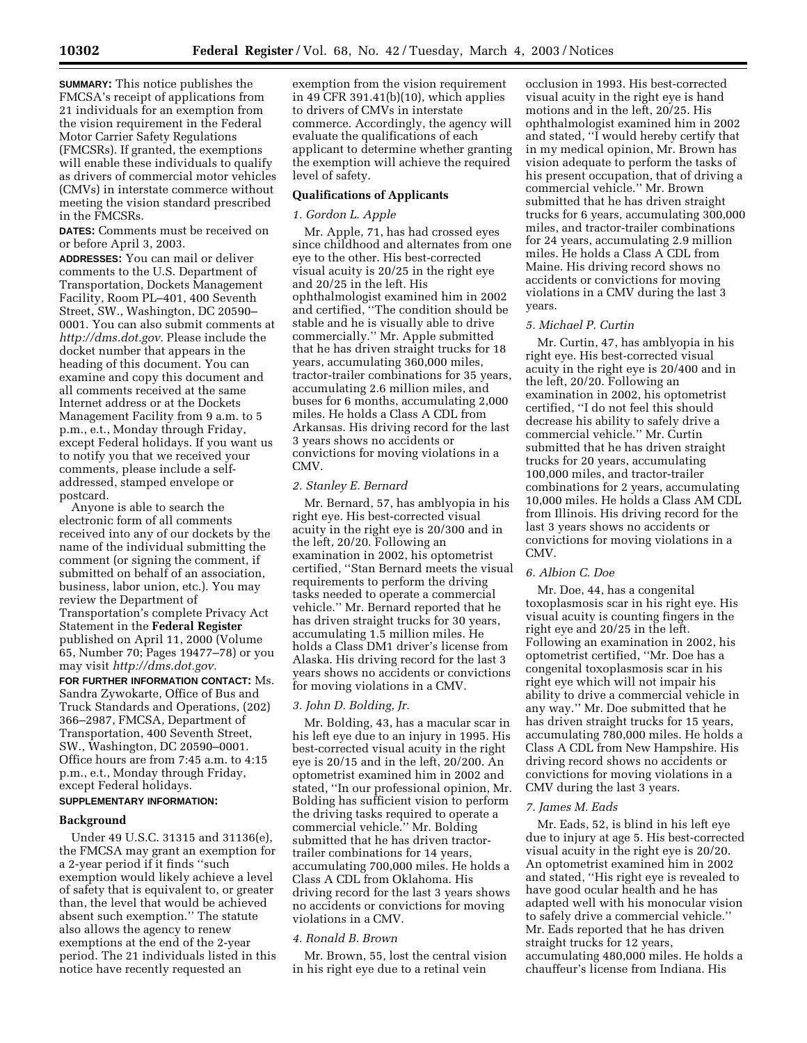**SUMMARY:** This notice publishes the FMCSA's receipt of applications from 21 individuals for an exemption from the vision requirement in the Federal Motor Carrier Safety Regulations (FMCSRs). If granted, the exemptions will enable these individuals to qualify as drivers of commercial motor vehicles (CMVs) in interstate commerce without meeting the vision standard prescribed in the FMCSRs.

**DATES:** Comments must be received on or before April 3, 2003.

**ADDRESSES:** You can mail or deliver comments to the U.S. Department of Transportation, Dockets Management Facility, Room PL–401, 400 Seventh Street, SW., Washington, DC 20590– 0001. You can also submit comments at *http://dms.dot.gov.* Please include the docket number that appears in the heading of this document. You can examine and copy this document and all comments received at the same Internet address or at the Dockets Management Facility from 9 a.m. to 5 p.m., e.t., Monday through Friday, except Federal holidays. If you want us to notify you that we received your comments, please include a selfaddressed, stamped envelope or postcard.

Anyone is able to search the electronic form of all comments received into any of our dockets by the name of the individual submitting the comment (or signing the comment, if submitted on behalf of an association, business, labor union, etc.). You may review the Department of Transportation's complete Privacy Act Statement in the **Federal Register** published on April 11, 2000 (Volume 65, Number 70; Pages 19477–78) or you may visit *http://dms.dot.gov.*

**FOR FURTHER INFORMATION CONTACT:** Ms. Sandra Zywokarte, Office of Bus and Truck Standards and Operations, (202) 366–2987, FMCSA, Department of Transportation, 400 Seventh Street, SW., Washington, DC 20590–0001. Office hours are from 7:45 a.m. to 4:15 p.m., e.t., Monday through Friday, except Federal holidays.

# **SUPPLEMENTARY INFORMATION:**

#### **Background**

Under 49 U.S.C. 31315 and 31136(e), the FMCSA may grant an exemption for a 2-year period if it finds ''such exemption would likely achieve a level of safety that is equivalent to, or greater than, the level that would be achieved absent such exemption.'' The statute also allows the agency to renew exemptions at the end of the 2-year period. The 21 individuals listed in this notice have recently requested an

exemption from the vision requirement in 49 CFR 391.41(b)(10), which applies to drivers of CMVs in interstate commerce. Accordingly, the agency will evaluate the qualifications of each applicant to determine whether granting the exemption will achieve the required level of safety.

### **Qualifications of Applicants**

#### *1. Gordon L. Apple*

Mr. Apple, 71, has had crossed eyes since childhood and alternates from one eye to the other. His best-corrected visual acuity is 20/25 in the right eye and 20/25 in the left. His ophthalmologist examined him in 2002 and certified, ''The condition should be stable and he is visually able to drive commercially.'' Mr. Apple submitted that he has driven straight trucks for 18 years, accumulating 360,000 miles, tractor-trailer combinations for 35 years, accumulating 2.6 million miles, and buses for 6 months, accumulating 2,000 miles. He holds a Class A CDL from Arkansas. His driving record for the last 3 years shows no accidents or convictions for moving violations in a CMV.

### *2. Stanley E. Bernard*

Mr. Bernard, 57, has amblyopia in his right eye. His best-corrected visual acuity in the right eye is 20/300 and in the left, 20/20. Following an examination in 2002, his optometrist certified, ''Stan Bernard meets the visual requirements to perform the driving tasks needed to operate a commercial vehicle.'' Mr. Bernard reported that he has driven straight trucks for 30 years, accumulating 1.5 million miles. He holds a Class DM1 driver's license from Alaska. His driving record for the last 3 years shows no accidents or convictions for moving violations in a CMV.

### *3. John D. Bolding, Jr.*

Mr. Bolding, 43, has a macular scar in his left eye due to an injury in 1995. His best-corrected visual acuity in the right eye is 20/15 and in the left, 20/200. An optometrist examined him in 2002 and stated, ''In our professional opinion, Mr. Bolding has sufficient vision to perform the driving tasks required to operate a commercial vehicle.'' Mr. Bolding submitted that he has driven tractortrailer combinations for 14 years, accumulating 700,000 miles. He holds a Class A CDL from Oklahoma. His driving record for the last 3 years shows no accidents or convictions for moving violations in a CMV.

#### *4. Ronald B. Brown*

Mr. Brown, 55, lost the central vision in his right eye due to a retinal vein

occlusion in 1993. His best-corrected visual acuity in the right eye is hand motions and in the left, 20/25. His ophthalmologist examined him in 2002 and stated, ''I would hereby certify that in my medical opinion, Mr. Brown has vision adequate to perform the tasks of his present occupation, that of driving a commercial vehicle.'' Mr. Brown submitted that he has driven straight trucks for 6 years, accumulating 300,000 miles, and tractor-trailer combinations for 24 years, accumulating 2.9 million miles. He holds a Class A CDL from Maine. His driving record shows no accidents or convictions for moving violations in a CMV during the last 3 years.

#### *5. Michael P. Curtin*

Mr. Curtin, 47, has amblyopia in his right eye. His best-corrected visual acuity in the right eye is 20/400 and in the left, 20/20. Following an examination in 2002, his optometrist certified, ''I do not feel this should decrease his ability to safely drive a commercial vehicle.'' Mr. Curtin submitted that he has driven straight trucks for 20 years, accumulating 100,000 miles, and tractor-trailer combinations for 2 years, accumulating 10,000 miles. He holds a Class AM CDL from Illinois. His driving record for the last 3 years shows no accidents or convictions for moving violations in a CMV.

#### *6. Albion C. Doe*

Mr. Doe, 44, has a congenital toxoplasmosis scar in his right eye. His visual acuity is counting fingers in the right eye and 20/25 in the left. Following an examination in 2002, his optometrist certified, ''Mr. Doe has a congenital toxoplasmosis scar in his right eye which will not impair his ability to drive a commercial vehicle in any way.'' Mr. Doe submitted that he has driven straight trucks for 15 years, accumulating 780,000 miles. He holds a Class A CDL from New Hampshire. His driving record shows no accidents or convictions for moving violations in a CMV during the last 3 years.

#### *7. James M. Eads*

Mr. Eads, 52, is blind in his left eye due to injury at age 5. His best-corrected visual acuity in the right eye is 20/20. An optometrist examined him in 2002 and stated, ''His right eye is revealed to have good ocular health and he has adapted well with his monocular vision to safely drive a commercial vehicle.'' Mr. Eads reported that he has driven straight trucks for 12 years, accumulating 480,000 miles. He holds a chauffeur's license from Indiana. His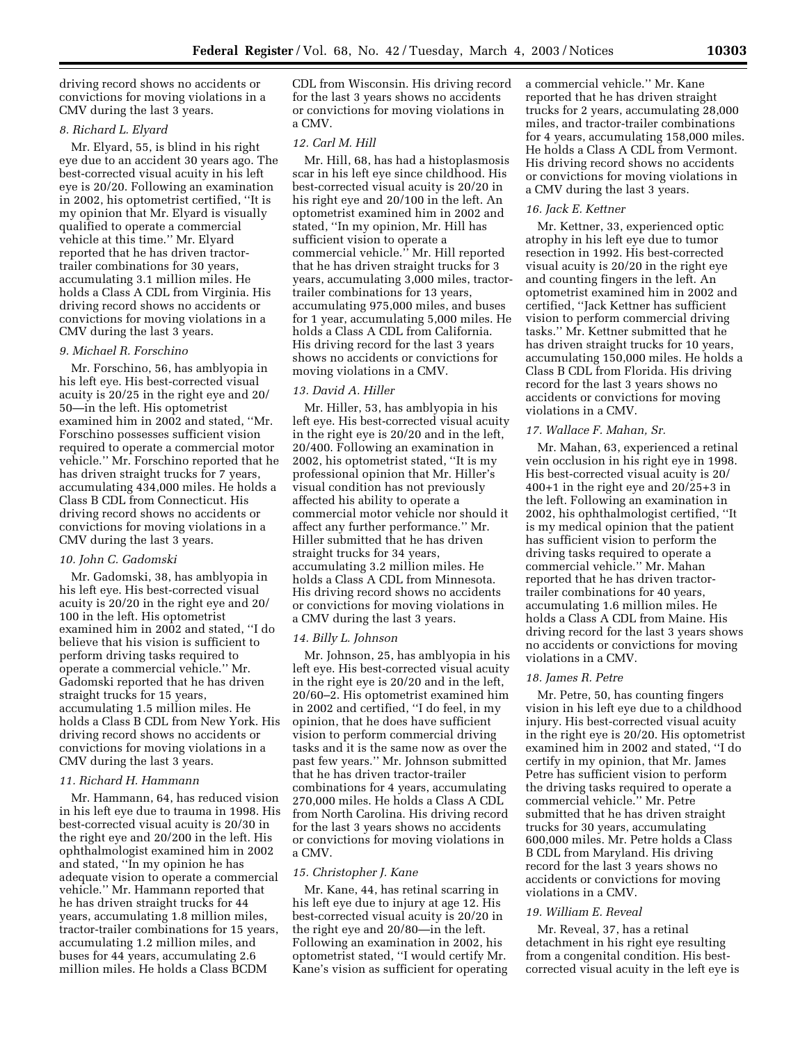driving record shows no accidents or convictions for moving violations in a CMV during the last 3 years.

## *8. Richard L. Elyard*

Mr. Elyard, 55, is blind in his right eye due to an accident 30 years ago. The best-corrected visual acuity in his left eye is 20/20. Following an examination in 2002, his optometrist certified, ''It is my opinion that Mr. Elyard is visually qualified to operate a commercial vehicle at this time.'' Mr. Elyard reported that he has driven tractortrailer combinations for 30 years, accumulating 3.1 million miles. He holds a Class A CDL from Virginia. His driving record shows no accidents or convictions for moving violations in a CMV during the last 3 years.

### *9. Michael R. Forschino*

Mr. Forschino, 56, has amblyopia in his left eye. His best-corrected visual acuity is 20/25 in the right eye and 20/ 50—in the left. His optometrist examined him in 2002 and stated, ''Mr. Forschino possesses sufficient vision required to operate a commercial motor vehicle.'' Mr. Forschino reported that he has driven straight trucks for 7 years, accumulating 434,000 miles. He holds a Class B CDL from Connecticut. His driving record shows no accidents or convictions for moving violations in a CMV during the last 3 years.

## *10. John C. Gadomski*

Mr. Gadomski, 38, has amblyopia in his left eye. His best-corrected visual acuity is 20/20 in the right eye and 20/ 100 in the left. His optometrist examined him in 2002 and stated, ''I do believe that his vision is sufficient to perform driving tasks required to operate a commercial vehicle.'' Mr. Gadomski reported that he has driven straight trucks for 15 years, accumulating 1.5 million miles. He holds a Class B CDL from New York. His driving record shows no accidents or convictions for moving violations in a CMV during the last 3 years.

#### *11. Richard H. Hammann*

Mr. Hammann, 64, has reduced vision in his left eye due to trauma in 1998. His best-corrected visual acuity is 20/30 in the right eye and 20/200 in the left. His ophthalmologist examined him in 2002 and stated, ''In my opinion he has adequate vision to operate a commercial vehicle.'' Mr. Hammann reported that he has driven straight trucks for 44 years, accumulating 1.8 million miles, tractor-trailer combinations for 15 years, accumulating 1.2 million miles, and buses for 44 years, accumulating 2.6 million miles. He holds a Class BCDM

CDL from Wisconsin. His driving record for the last 3 years shows no accidents or convictions for moving violations in a CMV.

## *12. Carl M. Hill*

Mr. Hill, 68, has had a histoplasmosis scar in his left eye since childhood. His best-corrected visual acuity is 20/20 in his right eye and 20/100 in the left. An optometrist examined him in 2002 and stated, ''In my opinion, Mr. Hill has sufficient vision to operate a commercial vehicle.'' Mr. Hill reported that he has driven straight trucks for 3 years, accumulating 3,000 miles, tractortrailer combinations for 13 years, accumulating 975,000 miles, and buses for 1 year, accumulating 5,000 miles. He holds a Class A CDL from California. His driving record for the last 3 years shows no accidents or convictions for moving violations in a CMV.

#### *13. David A. Hiller*

Mr. Hiller, 53, has amblyopia in his left eye. His best-corrected visual acuity in the right eye is 20/20 and in the left, 20/400. Following an examination in 2002, his optometrist stated, ''It is my professional opinion that Mr. Hiller's visual condition has not previously affected his ability to operate a commercial motor vehicle nor should it affect any further performance.'' Mr. Hiller submitted that he has driven straight trucks for 34 years, accumulating 3.2 million miles. He holds a Class A CDL from Minnesota. His driving record shows no accidents or convictions for moving violations in a CMV during the last 3 years.

### *14. Billy L. Johnson*

Mr. Johnson, 25, has amblyopia in his left eye. His best-corrected visual acuity in the right eye is 20/20 and in the left, 20/60–2. His optometrist examined him in 2002 and certified, ''I do feel, in my opinion, that he does have sufficient vision to perform commercial driving tasks and it is the same now as over the past few years.'' Mr. Johnson submitted that he has driven tractor-trailer combinations for 4 years, accumulating 270,000 miles. He holds a Class A CDL from North Carolina. His driving record for the last 3 years shows no accidents or convictions for moving violations in a CMV.

#### *15. Christopher J. Kane*

Mr. Kane, 44, has retinal scarring in his left eye due to injury at age 12. His best-corrected visual acuity is 20/20 in the right eye and 20/80—in the left. Following an examination in 2002, his optometrist stated, ''I would certify Mr. Kane's vision as sufficient for operating a commercial vehicle.'' Mr. Kane reported that he has driven straight trucks for 2 years, accumulating 28,000 miles, and tractor-trailer combinations for 4 years, accumulating 158,000 miles. He holds a Class A CDL from Vermont. His driving record shows no accidents or convictions for moving violations in a CMV during the last 3 years.

### *16. Jack E. Kettner*

Mr. Kettner, 33, experienced optic atrophy in his left eye due to tumor resection in 1992. His best-corrected visual acuity is 20/20 in the right eye and counting fingers in the left. An optometrist examined him in 2002 and certified, ''Jack Kettner has sufficient vision to perform commercial driving tasks.'' Mr. Kettner submitted that he has driven straight trucks for 10 years, accumulating 150,000 miles. He holds a Class B CDL from Florida. His driving record for the last 3 years shows no accidents or convictions for moving violations in a CMV.

### *17. Wallace F. Mahan, Sr.*

Mr. Mahan, 63, experienced a retinal vein occlusion in his right eye in 1998. His best-corrected visual acuity is 20/ 400+1 in the right eye and 20/25+3 in the left. Following an examination in 2002, his ophthalmologist certified, ''It is my medical opinion that the patient has sufficient vision to perform the driving tasks required to operate a commercial vehicle.'' Mr. Mahan reported that he has driven tractortrailer combinations for 40 years, accumulating 1.6 million miles. He holds a Class A CDL from Maine. His driving record for the last 3 years shows no accidents or convictions for moving violations in a CMV.

#### *18. James R. Petre*

Mr. Petre, 50, has counting fingers vision in his left eye due to a childhood injury. His best-corrected visual acuity in the right eye is 20/20. His optometrist examined him in 2002 and stated, ''I do certify in my opinion, that Mr. James Petre has sufficient vision to perform the driving tasks required to operate a commercial vehicle.'' Mr. Petre submitted that he has driven straight trucks for 30 years, accumulating 600,000 miles. Mr. Petre holds a Class B CDL from Maryland. His driving record for the last 3 years shows no accidents or convictions for moving violations in a CMV.

### *19. William E. Reveal*

Mr. Reveal, 37, has a retinal detachment in his right eye resulting from a congenital condition. His bestcorrected visual acuity in the left eye is